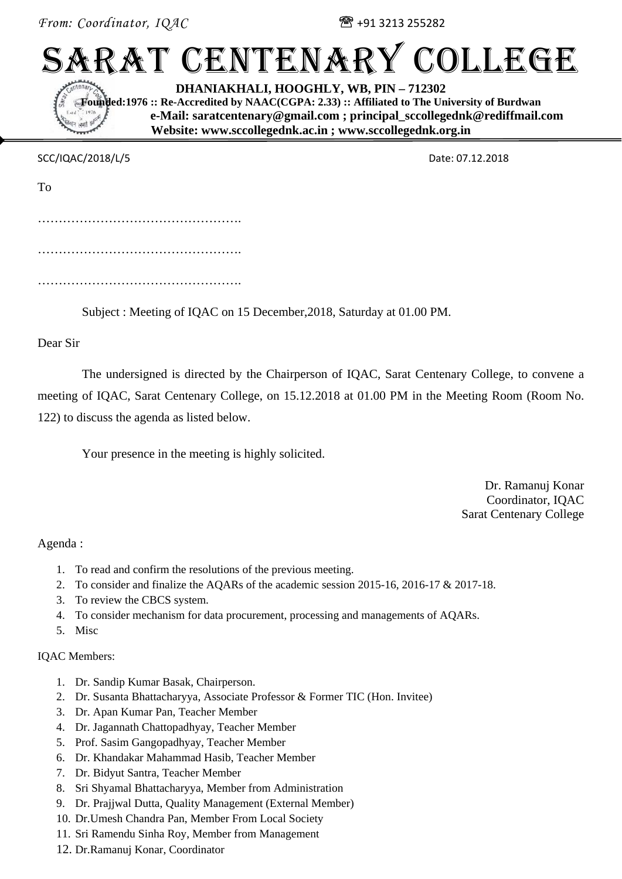*From: Coordinator, IQAC*  $\mathbb{R}$  +91 3213 255282

# SARAT CENTENARY COLLEGE

**DHANIAKHALI, HOOGHLY, WB, PIN – 712302** 

**Founded:1976 :: Re-Accredited by NAAC(CGPA: 2.33) :: Affiliated to The University of Burdwan e-Mail: saratcentenary@gmail.com ; principal\_sccollegednk@rediffmail.com Website: www.sccollegednk.ac.in ; www.sccollegednk.org.in** 

SCC/IQAC/2018/L/5 Date: 07.12.2018

| To |  |
|----|--|
|    |  |
|    |  |
|    |  |
|    |  |

Subject : Meeting of IQAC on 15 December,2018, Saturday at 01.00 PM.

Dear Sir

The undersigned is directed by the Chairperson of IQAC, Sarat Centenary College, to convene a meeting of IQAC, Sarat Centenary College, on 15.12.2018 at 01.00 PM in the Meeting Room (Room No. 122) to discuss the agenda as listed below.

Your presence in the meeting is highly solicited.

Dr. Ramanuj Konar Coordinator, IQAC Sarat Centenary College

Agenda :

- 1. To read and confirm the resolutions of the previous meeting.
- 2. To consider and finalize the AQARs of the academic session 2015-16, 2016-17 & 2017-18.
- 3. To review the CBCS system.
- 4. To consider mechanism for data procurement, processing and managements of AQARs.
- 5. Misc

# IQAC Members:

- 1. Dr. Sandip Kumar Basak, Chairperson.
- 2. Dr. Susanta Bhattacharyya, Associate Professor & Former TIC (Hon. Invitee)
- 3. Dr. Apan Kumar Pan, Teacher Member
- 4. Dr. Jagannath Chattopadhyay, Teacher Member
- 5. Prof. Sasim Gangopadhyay, Teacher Member
- 6. Dr. Khandakar Mahammad Hasib, Teacher Member
- 7. Dr. Bidyut Santra, Teacher Member
- 8. Sri Shyamal Bhattacharyya, Member from Administration
- 9. Dr. Prajjwal Dutta, Quality Management (External Member)
- 10. Dr.Umesh Chandra Pan, Member From Local Society
- 11. Sri Ramendu Sinha Roy, Member from Management
- 12. Dr.Ramanuj Konar, Coordinator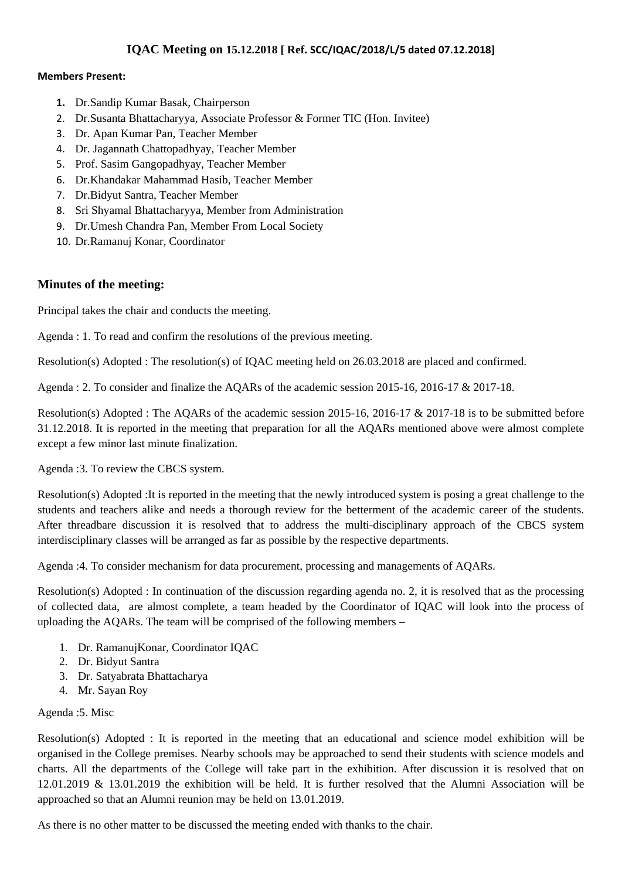## **IQAC Meeting on 15.12.2018 [ Ref. SCC/IQAC/2018/L/5 dated 07.12.2018]**

#### **Members Present:**

- **1.** Dr.Sandip Kumar Basak, Chairperson
- 2. Dr.Susanta Bhattacharyya, Associate Professor & Former TIC (Hon. Invitee)
- 3. Dr. Apan Kumar Pan, Teacher Member
- 4. Dr. Jagannath Chattopadhyay, Teacher Member
- 5. Prof. Sasim Gangopadhyay, Teacher Member
- 6. Dr.Khandakar Mahammad Hasib, Teacher Member
- 7. Dr.Bidyut Santra, Teacher Member
- 8. Sri Shyamal Bhattacharyya, Member from Administration
- 9. Dr.Umesh Chandra Pan, Member From Local Society
- 10. Dr.Ramanuj Konar, Coordinator

#### **Minutes of the meeting:**

Principal takes the chair and conducts the meeting.

Agenda : 1. To read and confirm the resolutions of the previous meeting.

Resolution(s) Adopted : The resolution(s) of IQAC meeting held on 26.03.2018 are placed and confirmed.

Agenda : 2. To consider and finalize the AQARs of the academic session 2015-16, 2016-17 & 2017-18.

Resolution(s) Adopted : The AQARs of the academic session 2015-16, 2016-17 & 2017-18 is to be submitted before 31.12.2018. It is reported in the meeting that preparation for all the AQARs mentioned above were almost complete except a few minor last minute finalization.

Agenda :3. To review the CBCS system.

Resolution(s) Adopted :It is reported in the meeting that the newly introduced system is posing a great challenge to the students and teachers alike and needs a thorough review for the betterment of the academic career of the students. After threadbare discussion it is resolved that to address the multi-disciplinary approach of the CBCS system interdisciplinary classes will be arranged as far as possible by the respective departments.

Agenda :4. To consider mechanism for data procurement, processing and managements of AQARs.

Resolution(s) Adopted : In continuation of the discussion regarding agenda no. 2, it is resolved that as the processing of collected data, are almost complete, a team headed by the Coordinator of IQAC will look into the process of uploading the AQARs. The team will be comprised of the following members –

- 1. Dr. RamanujKonar, Coordinator IQAC
- 2. Dr. Bidyut Santra
- 3. Dr. Satyabrata Bhattacharya
- 4. Mr. Sayan Roy

#### Agenda :5. Misc

Resolution(s) Adopted : It is reported in the meeting that an educational and science model exhibition will be organised in the College premises. Nearby schools may be approached to send their students with science models and charts. All the departments of the College will take part in the exhibition. After discussion it is resolved that on 12.01.2019 & 13.01.2019 the exhibition will be held. It is further resolved that the Alumni Association will be approached so that an Alumni reunion may be held on 13.01.2019.

As there is no other matter to be discussed the meeting ended with thanks to the chair.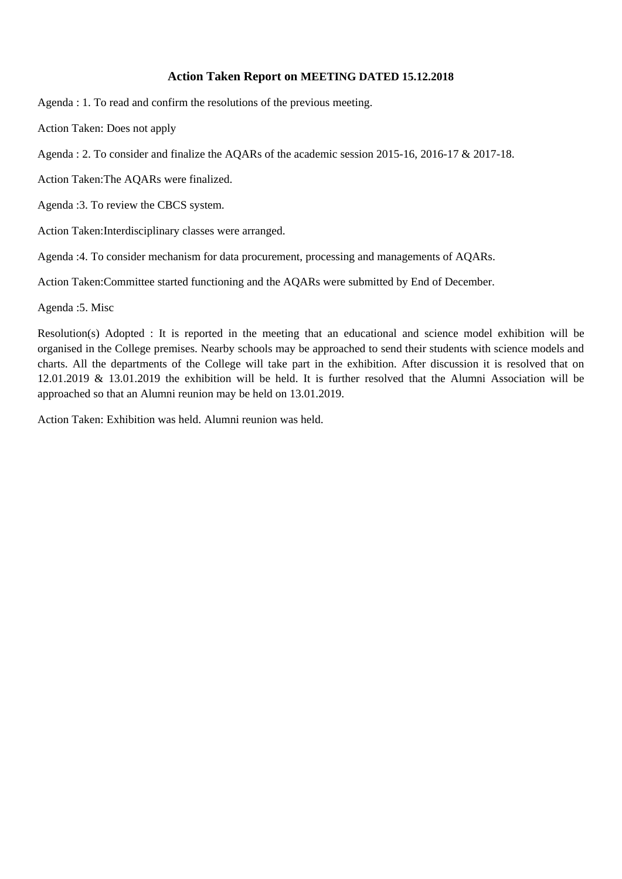#### **Action Taken Report on MEETING DATED 15.12.2018**

Agenda : 1. To read and confirm the resolutions of the previous meeting.

Action Taken: Does not apply

Agenda : 2. To consider and finalize the AQARs of the academic session 2015-16, 2016-17 & 2017-18.

Action Taken:The AQARs were finalized.

Agenda :3. To review the CBCS system.

Action Taken:Interdisciplinary classes were arranged.

Agenda :4. To consider mechanism for data procurement, processing and managements of AQARs.

Action Taken:Committee started functioning and the AQARs were submitted by End of December.

Agenda :5. Misc

Resolution(s) Adopted : It is reported in the meeting that an educational and science model exhibition will be organised in the College premises. Nearby schools may be approached to send their students with science models and charts. All the departments of the College will take part in the exhibition. After discussion it is resolved that on 12.01.2019 & 13.01.2019 the exhibition will be held. It is further resolved that the Alumni Association will be approached so that an Alumni reunion may be held on 13.01.2019.

Action Taken: Exhibition was held. Alumni reunion was held.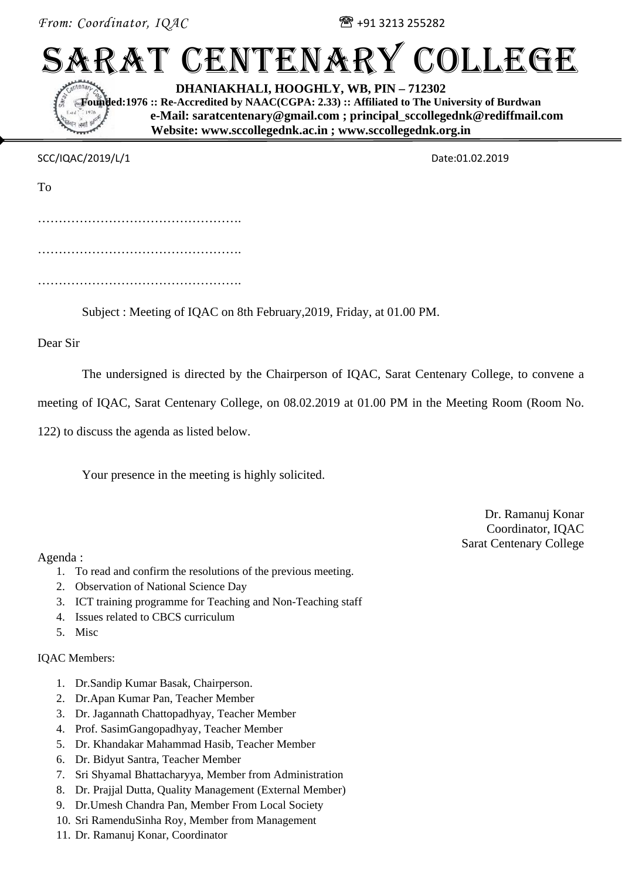*From: Coordinator, IQAC*  $\mathbb{R}$  +91 3213 255282

# SARAT CENTENARY COLLEGE

**DHANIAKHALI, HOOGHLY, WB, PIN – 712302** 

**Founded:1976 :: Re-Accredited by NAAC(CGPA: 2.33) :: Affiliated to The University of Burdwan e-Mail: saratcentenary@gmail.com ; principal\_sccollegednk@rediffmail.com Website: www.sccollegednk.ac.in ; www.sccollegednk.org.in** 

SCC/IQAC/2019/L/1 Date:01.02.2019

| To |  |  |
|----|--|--|
|    |  |  |
|    |  |  |
|    |  |  |

Subject : Meeting of IQAC on 8th February,2019, Friday, at 01.00 PM.

Dear Sir

The undersigned is directed by the Chairperson of IQAC, Sarat Centenary College, to convene a

meeting of IQAC, Sarat Centenary College, on 08.02.2019 at 01.00 PM in the Meeting Room (Room No.

122) to discuss the agenda as listed below.

Your presence in the meeting is highly solicited.

Dr. Ramanuj Konar Coordinator, IQAC Sarat Centenary College

Agenda :

- 1. To read and confirm the resolutions of the previous meeting.
- 2. Observation of National Science Day
- 3. ICT training programme for Teaching and Non-Teaching staff
- 4. Issues related to CBCS curriculum
- 5. Misc

# IQAC Members:

- 1. Dr.Sandip Kumar Basak, Chairperson.
- 2. Dr.Apan Kumar Pan, Teacher Member
- 3. Dr. Jagannath Chattopadhyay, Teacher Member
- 4. Prof. SasimGangopadhyay, Teacher Member
- 5. Dr. Khandakar Mahammad Hasib, Teacher Member
- 6. Dr. Bidyut Santra, Teacher Member
- 7. Sri Shyamal Bhattacharyya, Member from Administration
- 8. Dr. Prajjal Dutta, Quality Management (External Member)
- 9. Dr.Umesh Chandra Pan, Member From Local Society
- 10. Sri RamenduSinha Roy, Member from Management
- 11. Dr. Ramanuj Konar, Coordinator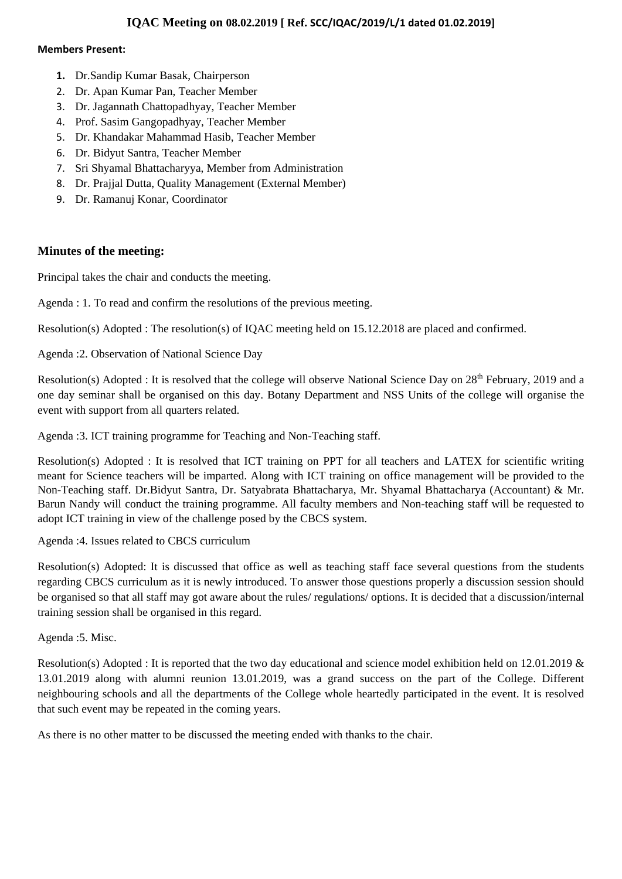### **IQAC Meeting on 08.02.2019 [ Ref. SCC/IQAC/2019/L/1 dated 01.02.2019]**

#### **Members Present:**

- **1.** Dr.Sandip Kumar Basak, Chairperson
- 2. Dr. Apan Kumar Pan, Teacher Member
- 3. Dr. Jagannath Chattopadhyay, Teacher Member
- 4. Prof. Sasim Gangopadhyay, Teacher Member
- 5. Dr. Khandakar Mahammad Hasib, Teacher Member
- 6. Dr. Bidyut Santra, Teacher Member
- 7. Sri Shyamal Bhattacharyya, Member from Administration
- 8. Dr. Prajjal Dutta, Quality Management (External Member)
- 9. Dr. Ramanuj Konar, Coordinator

## **Minutes of the meeting:**

Principal takes the chair and conducts the meeting.

Agenda : 1. To read and confirm the resolutions of the previous meeting.

Resolution(s) Adopted : The resolution(s) of IQAC meeting held on 15.12.2018 are placed and confirmed.

Agenda :2. Observation of National Science Day

Resolution(s) Adopted : It is resolved that the college will observe National Science Day on 28<sup>th</sup> February, 2019 and a one day seminar shall be organised on this day. Botany Department and NSS Units of the college will organise the event with support from all quarters related.

Agenda :3. ICT training programme for Teaching and Non-Teaching staff.

Resolution(s) Adopted : It is resolved that ICT training on PPT for all teachers and LATEX for scientific writing meant for Science teachers will be imparted. Along with ICT training on office management will be provided to the Non-Teaching staff. Dr.Bidyut Santra, Dr. Satyabrata Bhattacharya, Mr. Shyamal Bhattacharya (Accountant) & Mr. Barun Nandy will conduct the training programme. All faculty members and Non-teaching staff will be requested to adopt ICT training in view of the challenge posed by the CBCS system.

Agenda :4. Issues related to CBCS curriculum

Resolution(s) Adopted: It is discussed that office as well as teaching staff face several questions from the students regarding CBCS curriculum as it is newly introduced. To answer those questions properly a discussion session should be organised so that all staff may got aware about the rules/ regulations/ options. It is decided that a discussion/internal training session shall be organised in this regard.

Agenda :5. Misc.

Resolution(s) Adopted : It is reported that the two day educational and science model exhibition held on 12.01.2019 & 13.01.2019 along with alumni reunion 13.01.2019, was a grand success on the part of the College. Different neighbouring schools and all the departments of the College whole heartedly participated in the event. It is resolved that such event may be repeated in the coming years.

As there is no other matter to be discussed the meeting ended with thanks to the chair.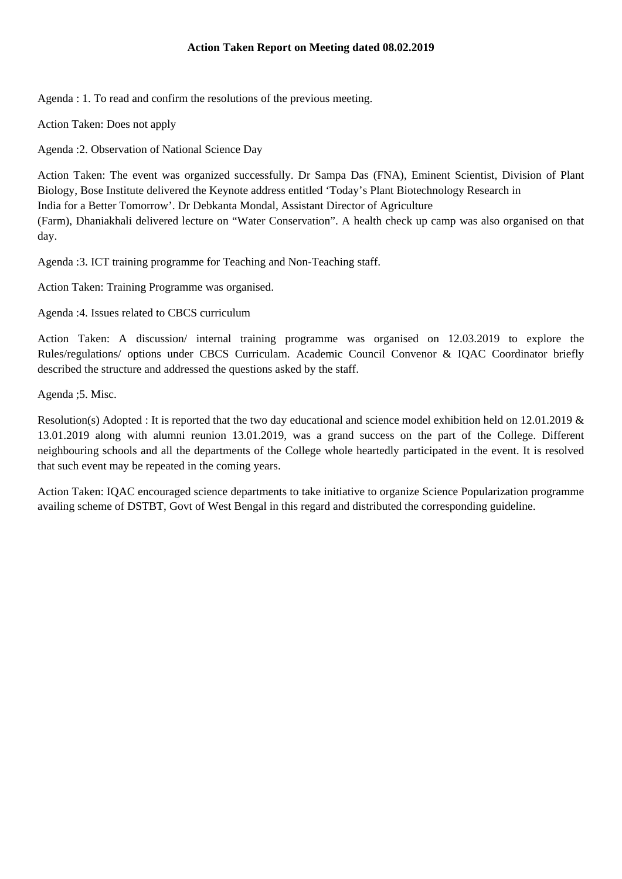Agenda : 1. To read and confirm the resolutions of the previous meeting.

Action Taken: Does not apply

Agenda :2. Observation of National Science Day

Action Taken: The event was organized successfully. Dr Sampa Das (FNA), Eminent Scientist, Division of Plant Biology, Bose Institute delivered the Keynote address entitled 'Today's Plant Biotechnology Research in India for a Better Tomorrow'. Dr Debkanta Mondal, Assistant Director of Agriculture (Farm), Dhaniakhali delivered lecture on "Water Conservation". A health check up camp was also organised on that day.

Agenda :3. ICT training programme for Teaching and Non-Teaching staff.

Action Taken: Training Programme was organised.

Agenda :4. Issues related to CBCS curriculum

Action Taken: A discussion/ internal training programme was organised on 12.03.2019 to explore the Rules/regulations/ options under CBCS Curriculam. Academic Council Convenor & IQAC Coordinator briefly described the structure and addressed the questions asked by the staff.

Agenda ;5. Misc.

Resolution(s) Adopted : It is reported that the two day educational and science model exhibition held on 12.01.2019 & 13.01.2019 along with alumni reunion 13.01.2019, was a grand success on the part of the College. Different neighbouring schools and all the departments of the College whole heartedly participated in the event. It is resolved that such event may be repeated in the coming years.

Action Taken: IQAC encouraged science departments to take initiative to organize Science Popularization programme availing scheme of DSTBT, Govt of West Bengal in this regard and distributed the corresponding guideline.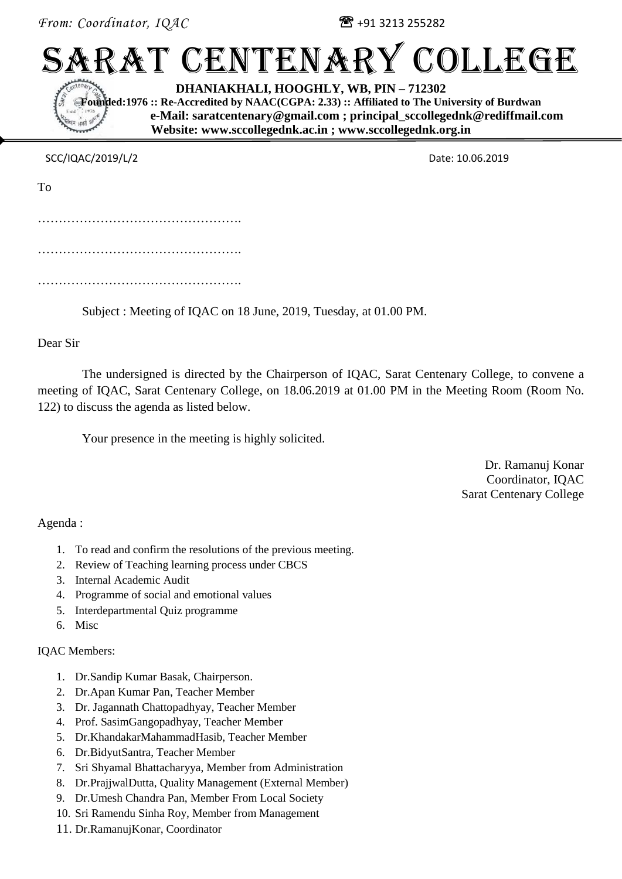*From: Coordinator,*  $IQAC$  $\mathbb{R}$ +91 3213 255282

# SARAT CENTENARY COLLEGE

**DHANIAKHALI, HOOGHLY, WB, PIN – 712302**

**Founded:1976 :: Re-Accredited by NAAC(CGPA: 2.33) :: Affiliated to The University of Burdwan e-Mail: saratcentenary@gmail.com ; principal\_sccollegednk@rediffmail.com Website: www.sccollegednk.ac.in ; www.sccollegednk.org.in**

SCC/IQAC/2019/L/2 Date: 10.06.2019

| To |  |  |
|----|--|--|
|    |  |  |
|    |  |  |
|    |  |  |
|    |  |  |

Subject : Meeting of IQAC on 18 June, 2019, Tuesday, at 01.00 PM.

Dear Sir

The undersigned is directed by the Chairperson of IQAC, Sarat Centenary College, to convene a meeting of IQAC, Sarat Centenary College, on 18.06.2019 at 01.00 PM in the Meeting Room (Room No. 122) to discuss the agenda as listed below.

Your presence in the meeting is highly solicited.

Dr. Ramanuj Konar Coordinator, IQAC Sarat Centenary College

Agenda :

- 1. To read and confirm the resolutions of the previous meeting.
- 2. Review of Teaching learning process under CBCS
- 3. Internal Academic Audit
- 4. Programme of social and emotional values
- 5. Interdepartmental Quiz programme
- 6. Misc

IQAC Members:

- 1. Dr.Sandip Kumar Basak, Chairperson.
- 2. Dr.Apan Kumar Pan, Teacher Member
- 3. Dr. Jagannath Chattopadhyay, Teacher Member
- 4. Prof. SasimGangopadhyay, Teacher Member
- 5. Dr.KhandakarMahammadHasib, Teacher Member
- 6. Dr.BidyutSantra, Teacher Member
- 7. Sri Shyamal Bhattacharyya, Member from Administration
- 8. Dr.PrajjwalDutta, Quality Management (External Member)
- 9. Dr.Umesh Chandra Pan, Member From Local Society
- 10. Sri Ramendu Sinha Roy, Member from Management
- 11. Dr.RamanujKonar, Coordinator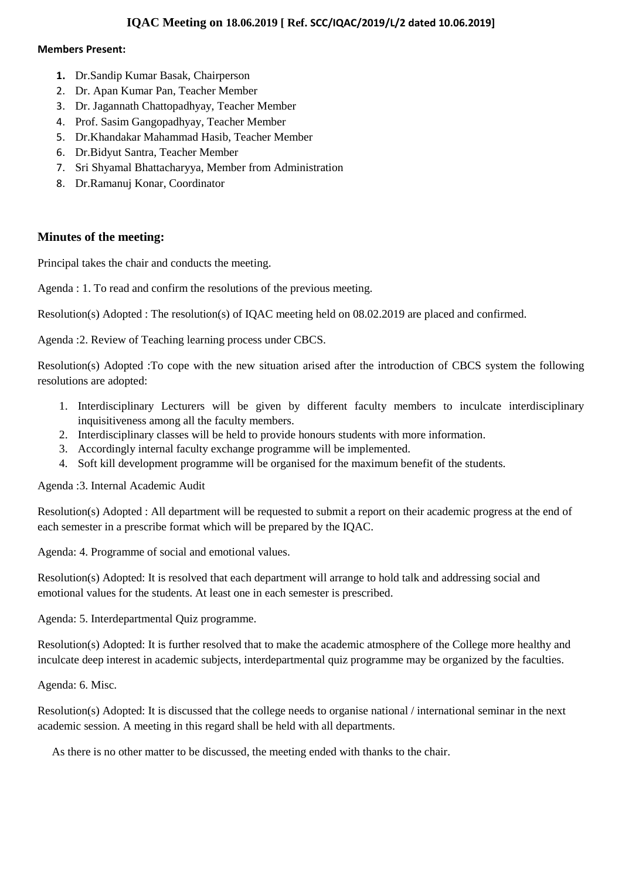### **IQAC Meeting on 18.06.2019 [ Ref. SCC/IQAC/2019/L/2 dated 10.06.2019]**

#### **Members Present:**

- **1.** Dr.Sandip Kumar Basak, Chairperson
- 2. Dr. Apan Kumar Pan, Teacher Member
- 3. Dr. Jagannath Chattopadhyay, Teacher Member
- 4. Prof. Sasim Gangopadhyay, Teacher Member
- 5. Dr.Khandakar Mahammad Hasib, Teacher Member
- 6. Dr.Bidyut Santra, Teacher Member
- 7. Sri Shyamal Bhattacharyya, Member from Administration
- 8. Dr.Ramanuj Konar, Coordinator

## **Minutes of the meeting:**

Principal takes the chair and conducts the meeting.

Agenda : 1. To read and confirm the resolutions of the previous meeting.

Resolution(s) Adopted : The resolution(s) of IQAC meeting held on 08.02.2019 are placed and confirmed.

Agenda :2. Review of Teaching learning process under CBCS.

Resolution(s) Adopted :To cope with the new situation arised after the introduction of CBCS system the following resolutions are adopted:

- 1. Interdisciplinary Lecturers will be given by different faculty members to inculcate interdisciplinary inquisitiveness among all the faculty members.
- 2. Interdisciplinary classes will be held to provide honours students with more information.
- 3. Accordingly internal faculty exchange programme will be implemented.
- 4. Soft kill development programme will be organised for the maximum benefit of the students.

Agenda :3. Internal Academic Audit

Resolution(s) Adopted : All department will be requested to submit a report on their academic progress at the end of each semester in a prescribe format which will be prepared by the IQAC.

Agenda: 4. Programme of social and emotional values.

Resolution(s) Adopted: It is resolved that each department will arrange to hold talk and addressing social and emotional values for the students. At least one in each semester is prescribed.

Agenda: 5. Interdepartmental Quiz programme.

Resolution(s) Adopted: It is further resolved that to make the academic atmosphere of the College more healthy and inculcate deep interest in academic subjects, interdepartmental quiz programme may be organized by the faculties.

Agenda: 6. Misc.

Resolution(s) Adopted: It is discussed that the college needs to organise national / international seminar in the next academic session. A meeting in this regard shall be held with all departments.

As there is no other matter to be discussed, the meeting ended with thanks to the chair.